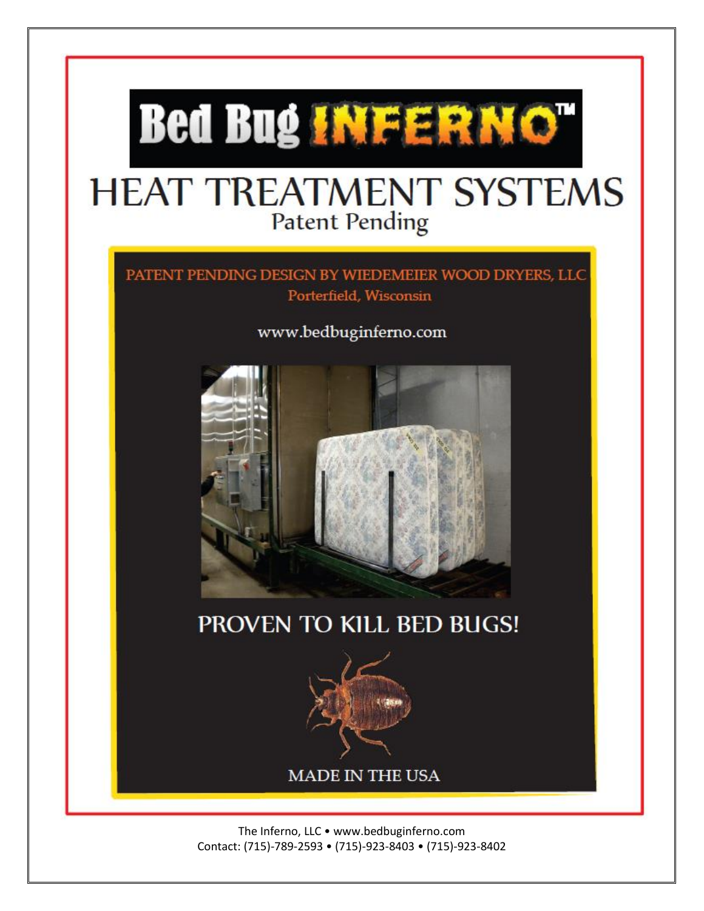

The Inferno, LLC • www.bedbuginferno.com Contact: (715)-789-2593 • (715)-923-8403 • (715)-923-8402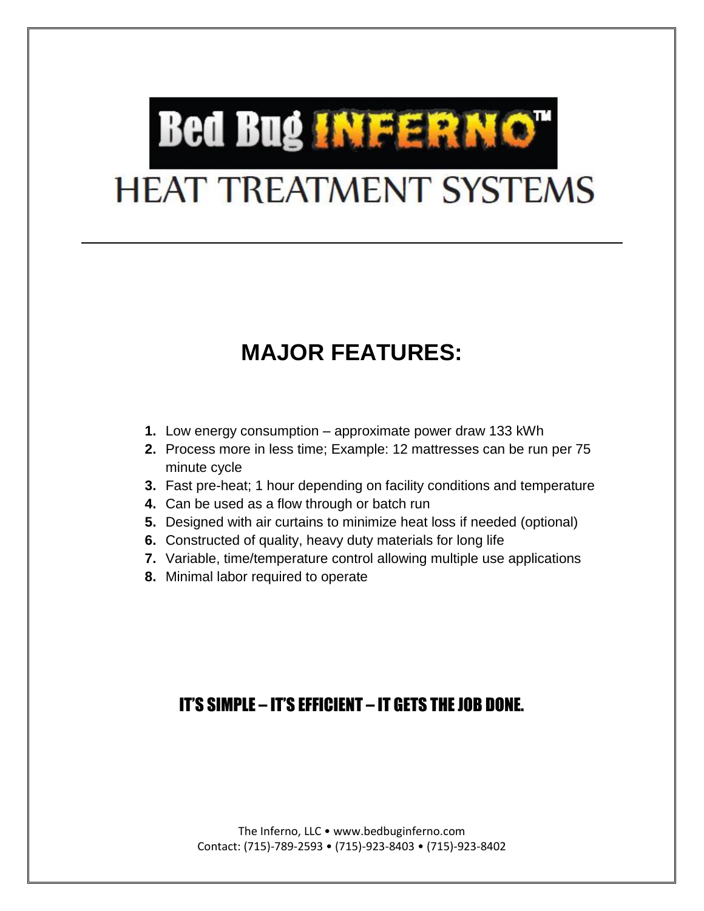# **Bed Bug INFERNOT HEAT TREATMENT SYSTEMS**

## **MAJOR FEATURES:**

- **1.** Low energy consumption approximate power draw 133 kWh
- **2.** Process more in less time; Example: 12 mattresses can be run per 75 minute cycle
- **3.** Fast pre-heat; 1 hour depending on facility conditions and temperature
- **4.** Can be used as a flow through or batch run
- **5.** Designed with air curtains to minimize heat loss if needed (optional)
- **6.** Constructed of quality, heavy duty materials for long life
- **7.** Variable, time/temperature control allowing multiple use applications
- **8.** Minimal labor required to operate

### IT'S SIMPLE – IT'S EFFICIENT – IT GETS THE JOB DONE.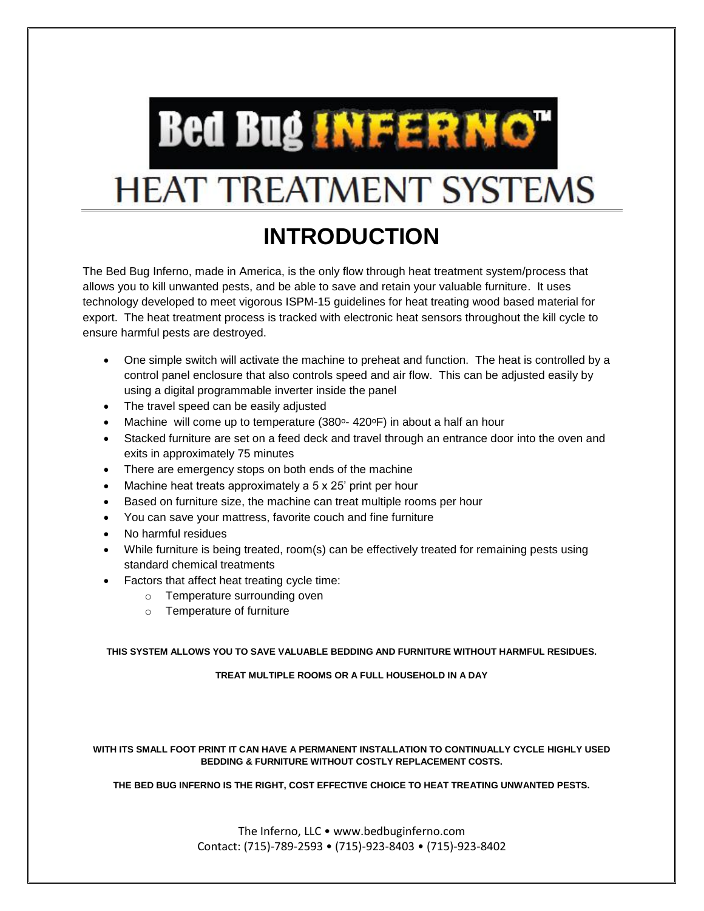

## **HEAT TREATMENT SYSTEMS**

## **INTRODUCTION**

The Bed Bug Inferno, made in America, is the only flow through heat treatment system/process that allows you to kill unwanted pests, and be able to save and retain your valuable furniture. It uses technology developed to meet vigorous ISPM-15 guidelines for heat treating wood based material for export. The heat treatment process is tracked with electronic heat sensors throughout the kill cycle to ensure harmful pests are destroyed.

- One simple switch will activate the machine to preheat and function. The heat is controlled by a control panel enclosure that also controls speed and air flow. This can be adjusted easily by using a digital programmable inverter inside the panel
- The travel speed can be easily adjusted
- Machine will come up to temperature  $(380^{\circ} 420^{\circ}F)$  in about a half an hour
- Stacked furniture are set on a feed deck and travel through an entrance door into the oven and exits in approximately 75 minutes
- There are emergency stops on both ends of the machine
- Machine heat treats approximately a 5 x 25' print per hour
- Based on furniture size, the machine can treat multiple rooms per hour
- You can save your mattress, favorite couch and fine furniture
- No harmful residues
- While furniture is being treated, room(s) can be effectively treated for remaining pests using standard chemical treatments
- Factors that affect heat treating cycle time:
	- o Temperature surrounding oven
	- o Temperature of furniture

#### **THIS SYSTEM ALLOWS YOU TO SAVE VALUABLE BEDDING AND FURNITURE WITHOUT HARMFUL RESIDUES.**

**TREAT MULTIPLE ROOMS OR A FULL HOUSEHOLD IN A DAY**

#### **WITH ITS SMALL FOOT PRINT IT CAN HAVE A PERMANENT INSTALLATION TO CONTINUALLY CYCLE HIGHLY USED BEDDING & FURNITURE WITHOUT COSTLY REPLACEMENT COSTS.**

**THE BED BUG INFERNO IS THE RIGHT, COST EFFECTIVE CHOICE TO HEAT TREATING UNWANTED PESTS.** 

The Inferno, LLC • www.bedbuginferno.com Contact: (715)-789-2593 • (715)-923-8403 • (715)-923-8402